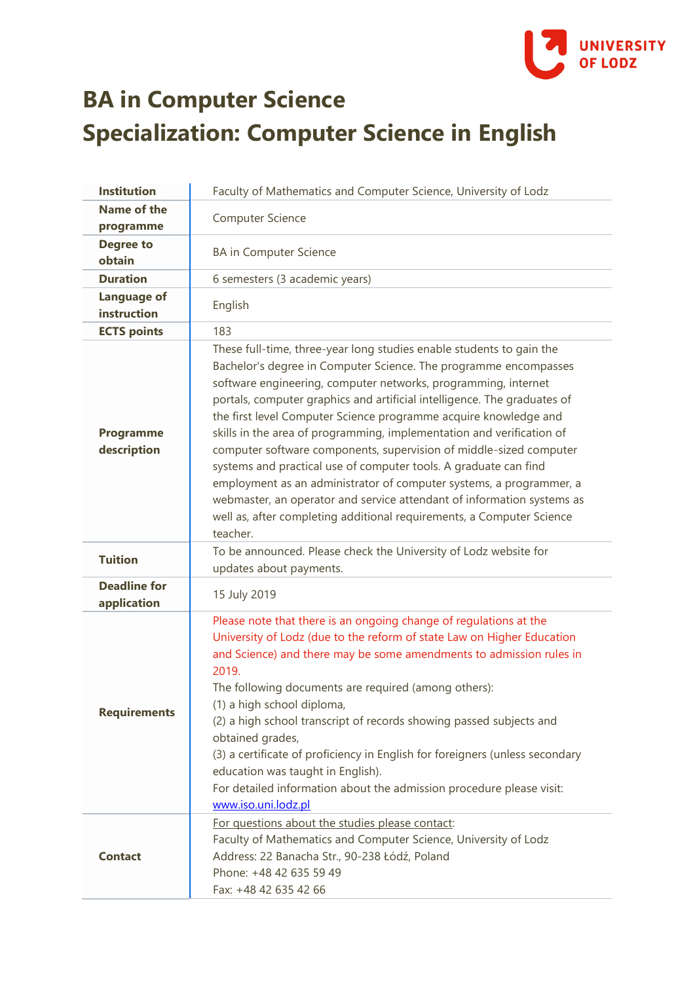

## **BA in Computer Science Specialization: Computer Science in English**

| <b>Institution</b>                 | Faculty of Mathematics and Computer Science, University of Lodz                                                                                                                                                                                                                                                                                                                                                                                                                                                                                                                                                                                                                                                                                                                                                     |
|------------------------------------|---------------------------------------------------------------------------------------------------------------------------------------------------------------------------------------------------------------------------------------------------------------------------------------------------------------------------------------------------------------------------------------------------------------------------------------------------------------------------------------------------------------------------------------------------------------------------------------------------------------------------------------------------------------------------------------------------------------------------------------------------------------------------------------------------------------------|
| Name of the<br>programme           | Computer Science                                                                                                                                                                                                                                                                                                                                                                                                                                                                                                                                                                                                                                                                                                                                                                                                    |
| <b>Degree to</b><br>obtain         | <b>BA</b> in Computer Science                                                                                                                                                                                                                                                                                                                                                                                                                                                                                                                                                                                                                                                                                                                                                                                       |
| <b>Duration</b>                    | 6 semesters (3 academic years)                                                                                                                                                                                                                                                                                                                                                                                                                                                                                                                                                                                                                                                                                                                                                                                      |
| <b>Language of</b><br>instruction  | English                                                                                                                                                                                                                                                                                                                                                                                                                                                                                                                                                                                                                                                                                                                                                                                                             |
| <b>ECTS points</b>                 | 183                                                                                                                                                                                                                                                                                                                                                                                                                                                                                                                                                                                                                                                                                                                                                                                                                 |
| <b>Programme</b><br>description    | These full-time, three-year long studies enable students to gain the<br>Bachelor's degree in Computer Science. The programme encompasses<br>software engineering, computer networks, programming, internet<br>portals, computer graphics and artificial intelligence. The graduates of<br>the first level Computer Science programme acquire knowledge and<br>skills in the area of programming, implementation and verification of<br>computer software components, supervision of middle-sized computer<br>systems and practical use of computer tools. A graduate can find<br>employment as an administrator of computer systems, a programmer, a<br>webmaster, an operator and service attendant of information systems as<br>well as, after completing additional requirements, a Computer Science<br>teacher. |
| <b>Tuition</b>                     | To be announced. Please check the University of Lodz website for<br>updates about payments.                                                                                                                                                                                                                                                                                                                                                                                                                                                                                                                                                                                                                                                                                                                         |
| <b>Deadline for</b><br>application | 15 July 2019                                                                                                                                                                                                                                                                                                                                                                                                                                                                                                                                                                                                                                                                                                                                                                                                        |
| <b>Requirements</b>                | Please note that there is an ongoing change of regulations at the<br>University of Lodz (due to the reform of state Law on Higher Education<br>and Science) and there may be some amendments to admission rules in<br>2019.<br>The following documents are required (among others):<br>(1) a high school diploma,<br>(2) a high school transcript of records showing passed subjects and<br>obtained grades,<br>(3) a certificate of proficiency in English for foreigners (unless secondary<br>education was taught in English).<br>For detailed information about the admission procedure please visit:<br>www.iso.uni.lodz.pl                                                                                                                                                                                    |
| <b>Contact</b>                     | For questions about the studies please contact:<br>Faculty of Mathematics and Computer Science, University of Lodz<br>Address: 22 Banacha Str., 90-238 Łódź, Poland<br>Phone: +48 42 635 59 49<br>Fax: +48 42 635 42 66                                                                                                                                                                                                                                                                                                                                                                                                                                                                                                                                                                                             |